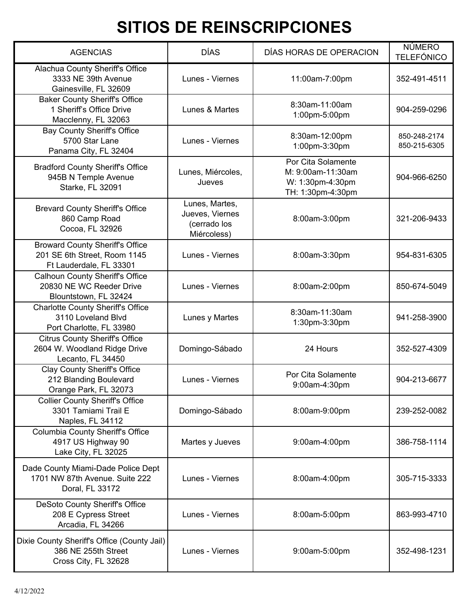| <b>AGENCIAS</b>                                                                                   | <b>DÍAS</b>                                                      | DÍAS HORAS DE OPERACION                                                          | <b>NÚMERO</b><br><b>TELEFÓNICO</b> |
|---------------------------------------------------------------------------------------------------|------------------------------------------------------------------|----------------------------------------------------------------------------------|------------------------------------|
| Alachua County Sheriff's Office<br>3333 NE 39th Avenue<br>Gainesville, FL 32609                   | Lunes - Viernes                                                  | 11:00am-7:00pm                                                                   | 352-491-4511                       |
| <b>Baker County Sheriff's Office</b><br>1 Sheriff's Office Drive<br>Macclenny, FL 32063           | Lunes & Martes                                                   | 8:30am-11:00am<br>1:00pm-5:00pm                                                  | 904-259-0296                       |
| <b>Bay County Sheriff's Office</b><br>5700 Star Lane<br>Panama City, FL 32404                     | Lunes - Viernes                                                  | 8:30am-12:00pm<br>1:00pm-3:30pm                                                  | 850-248-2174<br>850-215-6305       |
| <b>Bradford County Sheriff's Office</b><br>945B N Temple Avenue<br>Starke, FL 32091               | Lunes, Miércoles,<br>Jueves                                      | Por Cita Solamente<br>M: 9:00am-11:30am<br>W: 1:30pm-4:30pm<br>TH: 1:30pm-4:30pm | 904-966-6250                       |
| <b>Brevard County Sheriff's Office</b><br>860 Camp Road<br>Cocoa, FL 32926                        | Lunes, Martes,<br>Jueves, Viernes<br>(cerrado los<br>Miércoless) | 8:00am-3:00pm                                                                    | 321-206-9433                       |
| <b>Broward County Sheriff's Office</b><br>201 SE 6th Street, Room 1145<br>Ft Lauderdale, FL 33301 | Lunes - Viernes                                                  | 8:00am-3:30pm                                                                    | 954-831-6305                       |
| <b>Calhoun County Sheriff's Office</b><br>20830 NE WC Reeder Drive<br>Blountstown, FL 32424       | Lunes - Viernes                                                  | 8:00am-2:00pm                                                                    | 850-674-5049                       |
| <b>Charlotte County Sheriff's Office</b><br>3110 Loveland Blvd<br>Port Charlotte, FL 33980        | Lunes y Martes                                                   | 8:30am-11:30am<br>1:30pm-3:30pm                                                  | 941-258-3900                       |
| <b>Citrus County Sheriff's Office</b><br>2604 W. Woodland Ridge Drive<br>Lecanto, FL 34450        | Domingo-Sábado                                                   | 24 Hours                                                                         | 352-527-4309                       |
| <b>Clay County Sheriff's Office</b><br>212 Blanding Boulevard<br>Orange Park, FL 32073            | Lunes - Viernes                                                  | Por Cita Solamente<br>9:00am-4:30pm                                              | 904-213-6677                       |
| <b>Collier County Sheriff's Office</b><br>3301 Tamiami Trail E<br>Naples, FL 34112                | Domingo-Sábado                                                   | 8:00am-9:00pm                                                                    | 239-252-0082                       |
| <b>Columbia County Sheriff's Office</b><br>4917 US Highway 90<br>Lake City, FL 32025              | Martes y Jueves                                                  | 9:00am-4:00pm                                                                    | 386-758-1114                       |
| Dade County Miami-Dade Police Dept<br>1701 NW 87th Avenue. Suite 222<br>Doral, FL 33172           | Lunes - Viernes                                                  | 8:00am-4:00pm                                                                    | 305-715-3333                       |
| DeSoto County Sheriff's Office<br>208 E Cypress Street<br>Arcadia, FL 34266                       | Lunes - Viernes                                                  | 8:00am-5:00pm                                                                    | 863-993-4710                       |
| Dixie County Sheriff's Office (County Jail)<br>386 NE 255th Street<br>Cross City, FL 32628        | Lunes - Viernes                                                  | 9:00am-5:00pm                                                                    | 352-498-1231                       |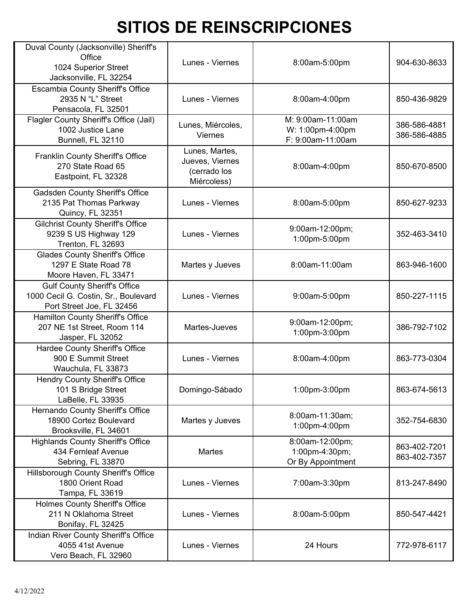| Duval County (Jacksonville) Sheriff's<br>Office<br>1024 Superior Street<br>Jacksonville, FL 32254        | Lunes - Viernes                                                  | 8:00am-5:00pm                                              | 904-630-8633                 |
|----------------------------------------------------------------------------------------------------------|------------------------------------------------------------------|------------------------------------------------------------|------------------------------|
| <b>Escambia County Sheriff's Office</b><br>2935 N "L" Street<br>Pensacola, FL 32501                      | Lunes - Viernes                                                  | 8:00am-4:00pm                                              | 850-436-9829                 |
| Flagler County Sheriff's Office (Jail)<br>1002 Justice Lane<br>Bunnell, FL 32110                         | Lunes, Miércoles,<br>Viernes                                     | M: 9:00am-11:00am<br>W: 1:00pm-4:00pm<br>F: 9:00am-11:00am | 386-586-4881<br>386-586-4885 |
| Franklin County Sheriff's Office<br>270 State Road 65<br>Eastpoint, FL 32328                             | Lunes, Martes,<br>Jueves, Viernes<br>(cerrado los<br>Miércoless) | 8:00am-4:00pm                                              | 850-670-8500                 |
| <b>Gadsden County Sheriff's Office</b><br>2135 Pat Thomas Parkway<br>Quincy, FL 32351                    | Lunes - Viernes                                                  | 8:00am-5:00pm                                              | 850-627-9233                 |
| <b>Gilchrist County Sheriff's Office</b><br>9239 S US Highway 129<br>Trenton, FL 32693                   | Lunes - Viernes                                                  | 9:00am-12:00pm;<br>1:00pm-5:00pm                           | 352-463-3410                 |
| <b>Glades County Sheriff's Office</b><br>1297 E State Road 78<br>Moore Haven, FL 33471                   | Martes y Jueves                                                  | 8:00am-11:00am                                             | 863-946-1600                 |
| <b>Gulf County Sheriff's Office</b><br>1000 Cecil G. Costin, Sr., Boulevard<br>Port Street Joe, FL 32456 | Lunes - Viernes                                                  | 9:00am-5:00pm                                              | 850-227-1115                 |
| Hamilton County Sheriff's Office<br>207 NE 1st Street, Room 114<br>Jasper, FL 32052                      | Martes-Jueves                                                    | 9:00am-12:00pm;<br>1:00pm-3:00pm                           | 386-792-7102                 |
| Hardee County Sheriff's Office<br>900 E Summit Street<br>Wauchula, FL 33873                              | Lunes - Viernes                                                  | 8:00am-4:00pm                                              | 863-773-0304                 |
| <b>Hendry County Sheriff's Office</b><br>101 S Bridge Street<br>LaBelle, FL 33935                        | Domingo-Sábado                                                   | 1:00pm-3:00pm                                              | 863-674-5613                 |
| Hernando County Sheriff's Office<br>18900 Cortez Boulevard<br>Brooksville, FL 34601                      | Martes y Jueves                                                  | 8:00am-11:30am;<br>1:00pm-4:00pm                           | 352-754-6830                 |
| <b>Highlands County Sheriff's Office</b><br>434 Fernleaf Avenue<br>Sebring, FL 33870                     | <b>Martes</b>                                                    | 8:00am-12:00pm;<br>1:00pm-4:30pm;<br>Or By Appointment     | 863-402-7201<br>863-402-7357 |
| Hillsborough County Sheriff's Office<br>1800 Orient Road<br>Tampa, FL 33619                              | Lunes - Viernes                                                  | 7:00am-3:30pm                                              | 813-247-8490                 |
| <b>Holmes County Sheriff's Office</b><br>211 N Oklahoma Street<br>Bonifay, FL 32425                      | Lunes - Viernes                                                  | 8:00am-5:00pm                                              | 850-547-4421                 |
| Indian River County Sheriff's Office<br>4055 41st Avenue<br>Vero Beach, FL 32960                         | Lunes - Viernes                                                  | 24 Hours                                                   | 772-978-6117                 |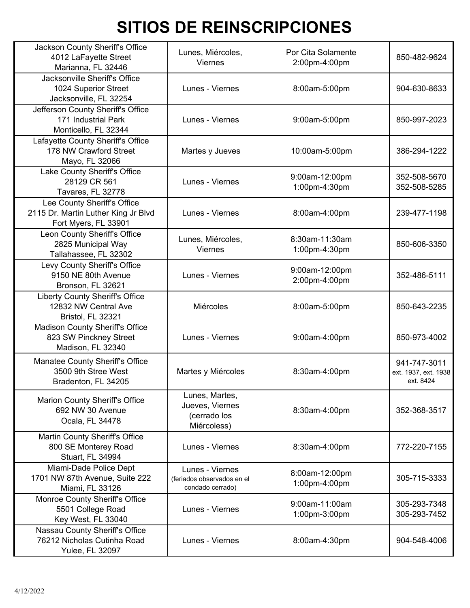| Jackson County Sheriff's Office<br>4012 LaFayette Street<br>Marianna, FL 32446             | Lunes, Miércoles,<br>Viernes                                      | Por Cita Solamente<br>2:00pm-4:00pm | 850-482-9624                                      |
|--------------------------------------------------------------------------------------------|-------------------------------------------------------------------|-------------------------------------|---------------------------------------------------|
| Jacksonville Sheriff's Office<br>1024 Superior Street<br>Jacksonville, FL 32254            | Lunes - Viernes                                                   | 8:00am-5:00pm                       | 904-630-8633                                      |
| Jefferson County Sheriff's Office<br>171 Industrial Park<br>Monticello, FL 32344           | Lunes - Viernes                                                   | 9:00am-5:00pm                       | 850-997-2023                                      |
| Lafayette County Sheriff's Office<br>178 NW Crawford Street<br>Mayo, FL 32066              | Martes y Jueves                                                   | 10:00am-5:00pm                      | 386-294-1222                                      |
| Lake County Sheriff's Office<br>28129 CR 561<br>Tavares, FL 32778                          | Lunes - Viernes                                                   | 9:00am-12:00pm<br>1:00pm-4:30pm     | 352-508-5670<br>352-508-5285                      |
| Lee County Sheriff's Office<br>2115 Dr. Martin Luther King Jr Blvd<br>Fort Myers, FL 33901 | Lunes - Viernes                                                   | 8:00am-4:00pm                       | 239-477-1198                                      |
| Leon County Sheriff's Office<br>2825 Municipal Way<br>Tallahassee, FL 32302                | Lunes, Miércoles,<br>Viernes                                      | 8:30am-11:30am<br>1:00pm-4:30pm     | 850-606-3350                                      |
| Levy County Sheriff's Office<br>9150 NE 80th Avenue<br>Bronson, FL 32621                   | Lunes - Viernes                                                   | 9:00am-12:00pm<br>2:00pm-4:00pm     | 352-486-5111                                      |
| <b>Liberty County Sheriff's Office</b><br>12832 NW Central Ave<br>Bristol, FL 32321        | Miércoles                                                         | 8:00am-5:00pm                       | 850-643-2235                                      |
| Madison County Sheriff's Office<br>823 SW Pinckney Street<br>Madison, FL 32340             | Lunes - Viernes                                                   | 9:00am-4:00pm                       | 850-973-4002                                      |
| Manatee County Sheriff's Office<br>3500 9th Stree West<br>Bradenton, FL 34205              | Martes y Miércoles                                                | 8:30am-4:00pm                       | 941-747-3011<br>ext. 1937, ext. 1938<br>ext. 8424 |
| <b>Marion County Sheriff's Office</b><br>692 NW 30 Avenue<br>Ocala, FL 34478               | Lunes, Martes,<br>Jueves, Viernes<br>(cerrado los<br>Miércoless)  | 8:30am-4:00pm                       | 352-368-3517                                      |
| Martin County Sheriff's Office<br>800 SE Monterey Road<br>Stuart, FL 34994                 | Lunes - Viernes                                                   | 8:30am-4:00pm                       | 772-220-7155                                      |
| Miami-Dade Police Dept<br>1701 NW 87th Avenue, Suite 222<br>Miami, FL 33126                | Lunes - Viernes<br>(feriados observados en el<br>condado cerrado) | 8:00am-12:00pm<br>1:00pm-4:00pm     | 305-715-3333                                      |
| Monroe County Sheriff's Office<br>5501 College Road<br>Key West, FL 33040                  | Lunes - Viernes                                                   | 9:00am-11:00am<br>1:00pm-3:00pm     | 305-293-7348<br>305-293-7452                      |
| Nassau County Sheriff's Office<br>76212 Nicholas Cutinha Road<br>Yulee, FL 32097           | Lunes - Viernes                                                   | 8:00am-4:30pm                       | 904-548-4006                                      |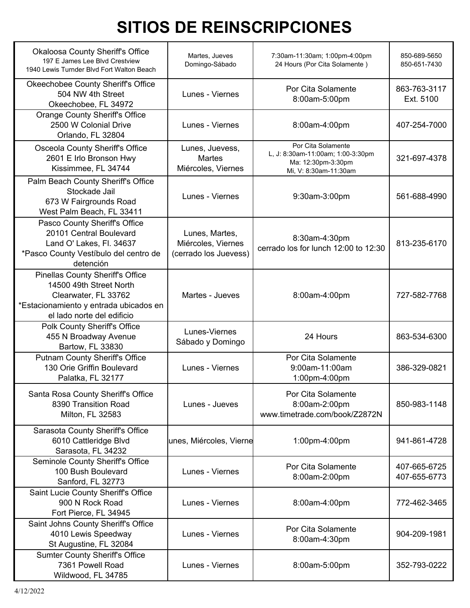| <b>Okaloosa County Sheriff's Office</b><br>197 E James Lee Blvd Crestview<br>1940 Lewis Turnder Blvd Fort Walton Beach                                             | Martes, Jueves<br>Domingo-Sábado                              | 7:30am-11:30am; 1:00pm-4:00pm<br>24 Hours (Por Cita Solamente)                                         | 850-689-5650<br>850-651-7430 |
|--------------------------------------------------------------------------------------------------------------------------------------------------------------------|---------------------------------------------------------------|--------------------------------------------------------------------------------------------------------|------------------------------|
| Okeechobee County Sheriff's Office<br>504 NW 4th Street<br>Okeechobee, FL 34972                                                                                    | Lunes - Viernes                                               | Por Cita Solamente<br>8:00am-5:00pm                                                                    | 863-763-3117<br>Ext. 5100    |
| <b>Orange County Sheriff's Office</b><br>2500 W Colonial Drive<br>Orlando, FL 32804                                                                                | Lunes - Viernes                                               | 8:00am-4:00pm                                                                                          | 407-254-7000                 |
| Osceola County Sheriff's Office<br>2601 E Irlo Bronson Hwy<br>Kissimmee, FL 34744                                                                                  | Lunes, Juevess,<br>Martes<br>Miércoles, Viernes               | Por Cita Solamente<br>L, J: 8:30am-11:00am; 1:00-3:30pm<br>Ma: 12:30pm-3:30pm<br>Mi, V: 8:30am-11:30am | 321-697-4378                 |
| Palm Beach County Sheriff's Office<br>Stockade Jail<br>673 W Fairgrounds Road<br>West Palm Beach, FL 33411                                                         | Lunes - Viernes                                               | 9:30am-3:00pm                                                                                          | 561-688-4990                 |
| Pasco County Sheriff's Office<br>20101 Central Boulevard<br>Land O' Lakes, Fl. 34637<br>*Pasco County Vestíbulo del centro de<br>detención                         | Lunes, Martes,<br>Miércoles, Viernes<br>(cerrado los Juevess) | 8:30am-4:30pm<br>cerrado los for lunch 12:00 to 12:30                                                  | 813-235-6170                 |
| <b>Pinellas County Sheriff's Office</b><br>14500 49th Street North<br>Clearwater, FL 33762<br>*Estacionamiento y entrada ubicados en<br>el lado norte del edificio | Martes - Jueves                                               | 8:00am-4:00pm                                                                                          | 727-582-7768                 |
| Polk County Sheriff's Office<br>455 N Broadway Avenue<br>Bartow, FL 33830                                                                                          | Lunes-Viernes<br>Sábado y Domingo                             | 24 Hours                                                                                               | 863-534-6300                 |
| <b>Putnam County Sheriff's Office</b><br>130 Orie Griffin Boulevard<br>Palatka, FL 32177                                                                           | Lunes - Viernes                                               | Por Cita Solamente<br>9:00am-11:00am<br>1:00pm-4:00pm                                                  | 386-329-0821                 |
| Santa Rosa County Sheriff's Office<br>8390 Transition Road<br>Milton, FL 32583                                                                                     | Lunes - Jueves                                                | Por Cita Solamente<br>8:00am-2:00pm<br>www.timetrade.com/book/Z2872N                                   | 850-983-1148                 |
| Sarasota County Sheriff's Office<br>6010 Cattleridge Blvd<br>Sarasota, FL 34232                                                                                    | unes, Miércoles, Vierne                                       | 1:00pm-4:00pm                                                                                          | 941-861-4728                 |
| Seminole County Sheriff's Office<br>100 Bush Boulevard<br>Sanford, FL 32773                                                                                        | Lunes - Viernes                                               | Por Cita Solamente<br>8:00am-2:00pm                                                                    | 407-665-6725<br>407-655-6773 |
| Saint Lucie County Sheriff's Office<br>900 N Rock Road<br>Fort Pierce, FL 34945                                                                                    | Lunes - Viernes                                               | 8:00am-4:00pm                                                                                          | 772-462-3465                 |
| Saint Johns County Sheriff's Office<br>4010 Lewis Speedway<br>St Augustine, FL 32084                                                                               | Lunes - Viernes                                               | Por Cita Solamente<br>8:00am-4:30pm                                                                    | 904-209-1981                 |
| <b>Sumter County Sheriff's Office</b><br>7361 Powell Road<br>Wildwood, FL 34785                                                                                    | Lunes - Viernes                                               | 8:00am-5:00pm                                                                                          | 352-793-0222                 |